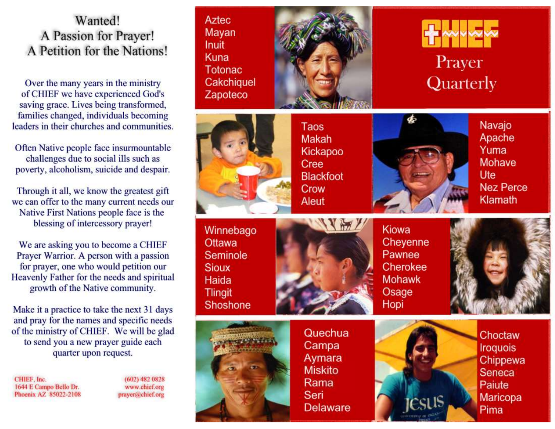## Wanted! A Passion for Prayer! A Petition for the Nations!

Over the many years in the ministry of CHIEF we have experienced God's saving grace. Lives being transformed, families changed, individuals becoming leaders in their churches and communities.

Often Native people face insurmountable challenges due to social ills such as poverty, alcoholism, suicide and despair.

Through it all, we know the greatest gift we can offer to the many current needs our Native First Nations people face is the blessing of intercessory prayer!

We are asking you to become a CHIEF Prayer Warrior. A person with a passion for prayer, one who would petition our Heavenly Father for the needs and spiritual growth of the Native community.

Make it a practice to take the next 31 days and pray for the names and specific needs of the ministry of CHIEF. We will be glad to send you a new prayer guide each quarter upon request.

CHIEF, Inc. 1644 E Campo Bello Dr. Phoenix AZ 85022-2108

(602) 482 0828 www.chief.org prayer@chief.org

Aztec Mayan **Inuit** Kuna **Totonac** Cakchiquel Zapoteco





Taos Makah **Kickapoo** Cree **Blackfoot** Crow **Aleut** 



Prayer

Quarterly

**Navajo** Apache Yuma Mohave Ute **Nez Perce** Klamath





Kiowa Cheyenne Pawnee Cherokee **Mohawk** Osage Hopi





Quechua Campa Aymara **Miskito** Rama Seri **Delaware** 



Choctaw **Iroquois** Chippewa Seneca Paiute Maricopa Pima